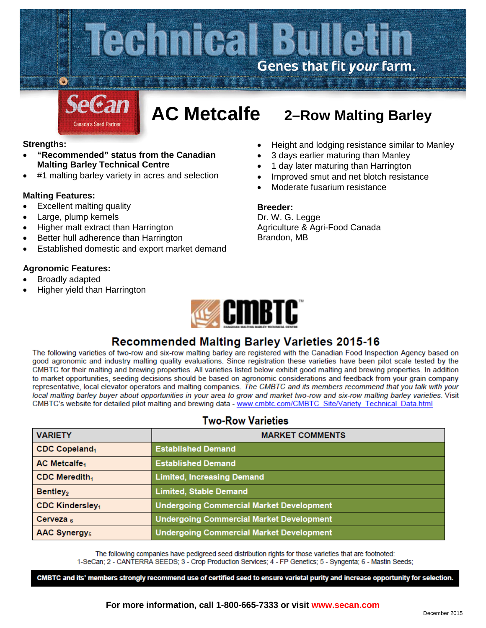

# **AC Metcalfe 2–Row Malting Barley**

# **Strengths:**

- **"Recommended" status from the Canadian Malting Barley Technical Centre**
- #1 malting barley variety in acres and selection

# **Malting Features:**

- Excellent malting quality
- Large, plump kernels
- Higher malt extract than Harrington
- Better hull adherence than Harrington
- Established domestic and export market demand

# **Agronomic Features:**

- Broadly adapted
- Higher yield than Harrington
- Height and lodging resistance similar to Manley
- 3 days earlier maturing than Manley
- 1 day later maturing than Harrington
- Improved smut and net blotch resistance
- Moderate fusarium resistance

# **Breeder:**

Dr. W. G. Legge Agriculture & Agri-Food Canada Brandon, MB



# **Recommended Malting Barley Varieties 2015-16**

The following varieties of two-row and six-row malting barley are registered with the Canadian Food Inspection Agency based on good agronomic and industry malting quality evaluations. Since registration these varieties have been pilot scale tested by the CMBTC for their malting and brewing properties. All varieties listed below exhibit good malting and brewing properties. In addition to market opportunities, seeding decisions should be based on agronomic considerations and feedback from your grain company representative, local elevator operators and malting companies. The CMBTC and its members recommend that you talk with your local malting barley buyer about opportunities in your area to grow and market two-row and six-row malting barley varieties. Visit CMBTC's website for detailed pilot malting and brewing data - www.cmbtc.com/CMBTC\_Site/Variety\_Technical\_Data.html

| <b>VARIETY</b>                     | <b>MARKET COMMENTS</b>                          |
|------------------------------------|-------------------------------------------------|
| CDC Copeland <sub>1</sub>          | <b>Established Demand</b>                       |
| <b>AC Metcalfe<sub>1</sub></b>     | <b>Established Demand</b>                       |
| CDC Meredith <sub>1</sub>          | <b>Limited, Increasing Demand</b>               |
| Bentley <sub>2</sub>               | <b>Limited, Stable Demand</b>                   |
| <b>CDC Kindersley</b> <sub>1</sub> | <b>Undergoing Commercial Market Development</b> |
| Cerveza $6$                        | <b>Undergoing Commercial Market Development</b> |
| <b>AAC Synergy</b> <sub>5</sub>    | <b>Undergoing Commercial Market Development</b> |

# **Two-Row Varieties**

The following companies have pedigreed seed distribution rights for those varieties that are footnoted:

1-SeCan; 2 - CANTERRA SEEDS; 3 - Crop Production Services; 4 - FP Genetics; 5 - Syngenta; 6 - Mastin Seeds;

CMBTC and its' members strongly recommend use of certified seed to ensure varietal purity and increase opportunity for selection.